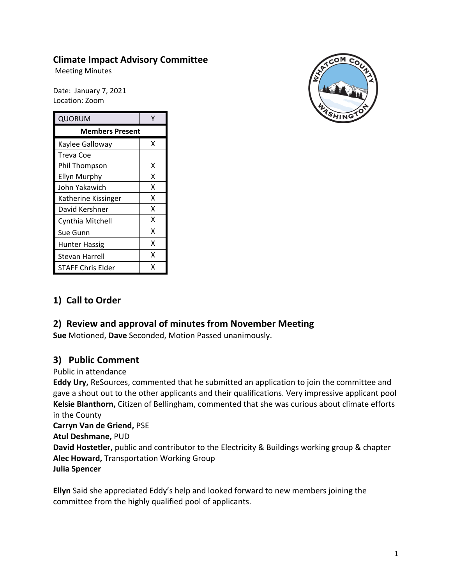## **Climate Impact Advisory Committee**

Meeting Minutes

Date: January 7, 2021 Location: Zoom

| QUORUM                   |   |
|--------------------------|---|
| <b>Members Present</b>   |   |
| Kaylee Galloway          | x |
| Treva Coe                |   |
| Phil Thompson            | x |
| Ellyn Murphy             | Χ |
| John Yakawich            | x |
| Katherine Kissinger      | x |
| David Kershner           | x |
| Cynthia Mitchell         | x |
| Sue Gunn                 | x |
| <b>Hunter Hassig</b>     | x |
| Stevan Harrell           | x |
| <b>STAFF Chris Elder</b> | x |



# **1) Call to Order**

# **2) Review and approval of minutes from November Meeting**

**Sue** Motioned, **Dave** Seconded, Motion Passed unanimously.

### **3) Public Comment**

Public in attendance

**Eddy Ury,** ReSources, commented that he submitted an application to join the committee and gave a shout out to the other applicants and their qualifications. Very impressive applicant pool **Kelsie Blanthorn,** Citizen of Bellingham, commented that she was curious about climate efforts in the County

#### **Carryn Van de Griend,** PSE

**Atul Deshmane,** PUD

**David Hostetler,** public and contributor to the Electricity & Buildings working group & chapter **Alec Howard,** Transportation Working Group **Julia Spencer**

**Ellyn** Said she appreciated Eddy's help and looked forward to new members joining the committee from the highly qualified pool of applicants.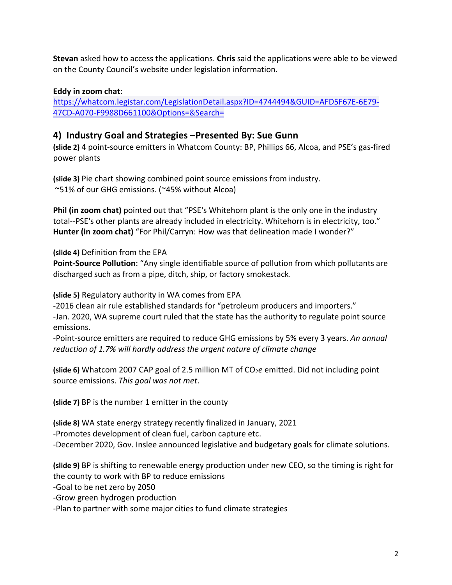**Stevan** asked how to access the applications. **Chris** said the applications were able to be viewed on the County Council's website under legislation information.

### **Eddy in zoom chat**:

[https://whatcom.legistar.com/LegislationDetail.aspx?ID=4744494&GUID=AFD5F67E-6E79-](https://whatcom.legistar.com/LegislationDetail.aspx?ID=4744494&GUID=AFD5F67E-6E79-47CD-A070-F9988D661100&Options=&Search=) [47CD-A070-F9988D661100&Options=&Search=](https://whatcom.legistar.com/LegislationDetail.aspx?ID=4744494&GUID=AFD5F67E-6E79-47CD-A070-F9988D661100&Options=&Search=)

## **4) Industry Goal and Strategies –Presented By: Sue Gunn**

**(slide 2)** 4 point-source emitters in Whatcom County: BP, Phillips 66, Alcoa, and PSE's gas-fired power plants

**(slide 3)** Pie chart showing combined point source emissions from industry. ~51% of our GHG emissions. (~45% without Alcoa)

**Phil (in zoom chat)** pointed out that "PSE's Whitehorn plant is the only one in the industry total--PSE's other plants are already included in electricity. Whitehorn is in electricity, too." **Hunter (in zoom chat)** "For Phil/Carryn: How was that delineation made I wonder?"

**(slide 4)** Definition from the EPA

**Point-Source Pollution**: "Any single identifiable source of pollution from which pollutants are discharged such as from a pipe, ditch, ship, or factory smokestack.

**(slide 5)** Regulatory authority in WA comes from EPA

-2016 clean air rule established standards for "petroleum producers and importers."

-Jan. 2020, WA supreme court ruled that the state has the authority to regulate point source emissions.

-Point-source emitters are required to reduce GHG emissions by 5% every 3 years. *An annual reduction of 1.7% will hardly address the urgent nature of climate change*

**(slide 6)** Whatcom 2007 CAP goal of 2.5 million MT of CO<sub>2</sub>e emitted. Did not including point source emissions. *This goal was not met*.

**(slide 7)** BP is the number 1 emitter in the county

**(slide 8)** WA state energy strategy recently finalized in January, 2021

-Promotes development of clean fuel, carbon capture etc.

-December 2020, Gov. Inslee announced legislative and budgetary goals for climate solutions.

**(slide 9)** BP is shifting to renewable energy production under new CEO, so the timing is right for the county to work with BP to reduce emissions

-Goal to be net zero by 2050

-Grow green hydrogen production

-Plan to partner with some major cities to fund climate strategies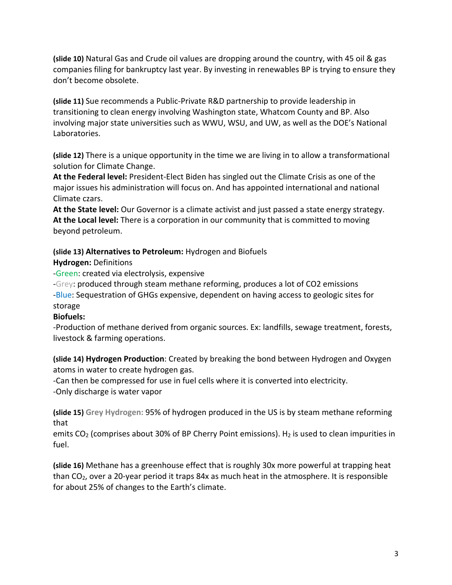**(slide 10)** Natural Gas and Crude oil values are dropping around the country, with 45 oil & gas companies filing for bankruptcy last year. By investing in renewables BP is trying to ensure they don't become obsolete.

**(slide 11)** Sue recommends a Public-Private R&D partnership to provide leadership in transitioning to clean energy involving Washington state, Whatcom County and BP. Also involving major state universities such as WWU, WSU, and UW, as well as the DOE's National Laboratories.

**(slide 12)** There is a unique opportunity in the time we are living in to allow a transformational solution for Climate Change.

**At the Federal level:** President-Elect Biden has singled out the Climate Crisis as one of the major issues his administration will focus on. And has appointed international and national Climate czars.

**At the State level:** Our Governor is a climate activist and just passed a state energy strategy. **At the Local level:** There is a corporation in our community that is committed to moving beyond petroleum.

**(slide 13) Alternatives to Petroleum:** Hydrogen and Biofuels

**Hydrogen:** Definitions

-Green: created via electrolysis, expensive

-Grey: produced through steam methane reforming, produces a lot of CO2 emissions -Blue: Sequestration of GHGs expensive, dependent on having access to geologic sites for storage

### **Biofuels:**

-Production of methane derived from organic sources. Ex: landfills, sewage treatment, forests, livestock & farming operations.

**(slide 14) Hydrogen Production**: Created by breaking the bond between Hydrogen and Oxygen atoms in water to create hydrogen gas.

-Can then be compressed for use in fuel cells where it is converted into electricity. -Only discharge is water vapor

**(slide 15) Grey Hydrogen:** 95% of hydrogen produced in the US is by steam methane reforming that

emits  $CO<sub>2</sub>$  (comprises about 30% of BP Cherry Point emissions). H<sub>2</sub> is used to clean impurities in fuel.

**(slide 16)** Methane has a greenhouse effect that is roughly 30x more powerful at trapping heat than CO2, over a 20-year period it traps 84x as much heat in the atmosphere. It is responsible for about 25% of changes to the Earth's climate.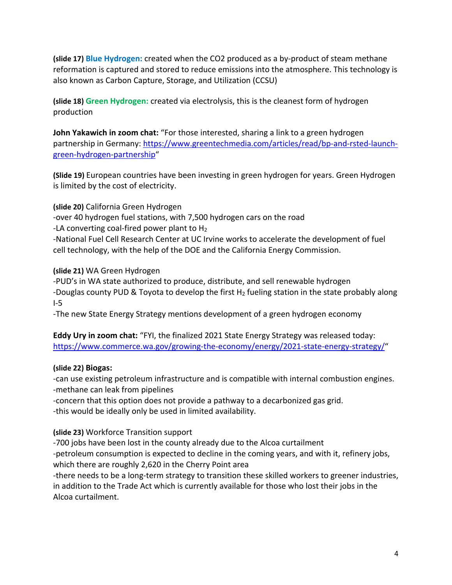**(slide 17) Blue Hydrogen:** created when the CO2 produced as a by-product of steam methane reformation is captured and stored to reduce emissions into the atmosphere. This technology is also known as Carbon Capture, Storage, and Utilization (CCSU)

**(slide 18) Green Hydrogen:** created via electrolysis, this is the cleanest form of hydrogen production

**John Yakawich in zoom chat:** "For those interested, sharing a link to a green hydrogen partnership in Germany: [https://www.greentechmedia.com/articles/read/bp-and-rsted-launch](https://www.greentechmedia.com/articles/read/bp-and-rsted-launch-green-hydrogen-partnership)[green-hydrogen-partnership"](https://www.greentechmedia.com/articles/read/bp-and-rsted-launch-green-hydrogen-partnership)

**(Slide 19)** European countries have been investing in green hydrogen for years. Green Hydrogen is limited by the cost of electricity.

**(slide 20)** California Green Hydrogen

-over 40 hydrogen fuel stations, with 7,500 hydrogen cars on the road

-LA converting coal-fired power plant to  $H_2$ 

-National Fuel Cell Research Center at UC Irvine works to accelerate the development of fuel cell technology, with the help of the DOE and the California Energy Commission.

**(slide 21)** WA Green Hydrogen

-PUD's in WA state authorized to produce, distribute, and sell renewable hydrogen -Douglas county PUD & Toyota to develop the first  $H_2$  fueling station in the state probably along I-5

-The new State Energy Strategy mentions development of a green hydrogen economy

**Eddy Ury in zoom chat:** "FYI, the finalized 2021 State Energy Strategy was released today: [https://www.commerce.wa.gov/growing-the-economy/energy/2021-state-energy-strategy/"](https://www.commerce.wa.gov/growing-the-economy/energy/2021-state-energy-strategy/)

#### **(slide 22) Biogas:**

-can use existing petroleum infrastructure and is compatible with internal combustion engines. -methane can leak from pipelines

-concern that this option does not provide a pathway to a decarbonized gas grid. -this would be ideally only be used in limited availability.

**(slide 23)** Workforce Transition support

-700 jobs have been lost in the county already due to the Alcoa curtailment

-petroleum consumption is expected to decline in the coming years, and with it, refinery jobs, which there are roughly 2,620 in the Cherry Point area

-there needs to be a long-term strategy to transition these skilled workers to greener industries, in addition to the Trade Act which is currently available for those who lost their jobs in the Alcoa curtailment.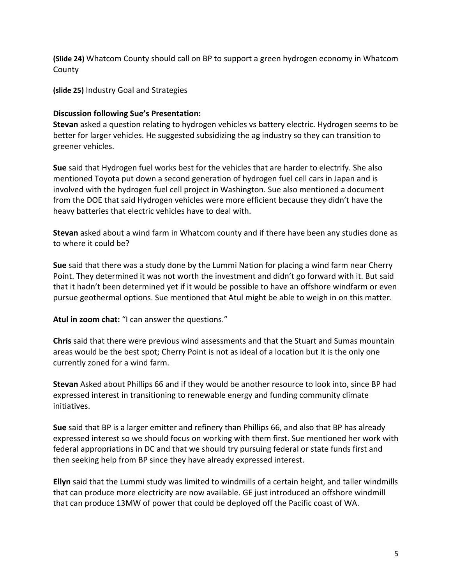**(Slide 24)** Whatcom County should call on BP to support a green hydrogen economy in Whatcom County

**(slide 25)** Industry Goal and Strategies

#### **Discussion following Sue's Presentation:**

**Stevan** asked a question relating to hydrogen vehicles vs battery electric. Hydrogen seems to be better for larger vehicles. He suggested subsidizing the ag industry so they can transition to greener vehicles.

**Sue** said that Hydrogen fuel works best for the vehicles that are harder to electrify. She also mentioned Toyota put down a second generation of hydrogen fuel cell cars in Japan and is involved with the hydrogen fuel cell project in Washington. Sue also mentioned a document from the DOE that said Hydrogen vehicles were more efficient because they didn't have the heavy batteries that electric vehicles have to deal with.

**Stevan** asked about a wind farm in Whatcom county and if there have been any studies done as to where it could be?

**Sue** said that there was a study done by the Lummi Nation for placing a wind farm near Cherry Point. They determined it was not worth the investment and didn't go forward with it. But said that it hadn't been determined yet if it would be possible to have an offshore windfarm or even pursue geothermal options. Sue mentioned that Atul might be able to weigh in on this matter.

**Atul in zoom chat:** "I can answer the questions."

**Chris** said that there were previous wind assessments and that the Stuart and Sumas mountain areas would be the best spot; Cherry Point is not as ideal of a location but it is the only one currently zoned for a wind farm.

**Stevan** Asked about Phillips 66 and if they would be another resource to look into, since BP had expressed interest in transitioning to renewable energy and funding community climate initiatives.

**Sue** said that BP is a larger emitter and refinery than Phillips 66, and also that BP has already expressed interest so we should focus on working with them first. Sue mentioned her work with federal appropriations in DC and that we should try pursuing federal or state funds first and then seeking help from BP since they have already expressed interest.

**Ellyn** said that the Lummi study was limited to windmills of a certain height, and taller windmills that can produce more electricity are now available. GE just introduced an offshore windmill that can produce 13MW of power that could be deployed off the Pacific coast of WA.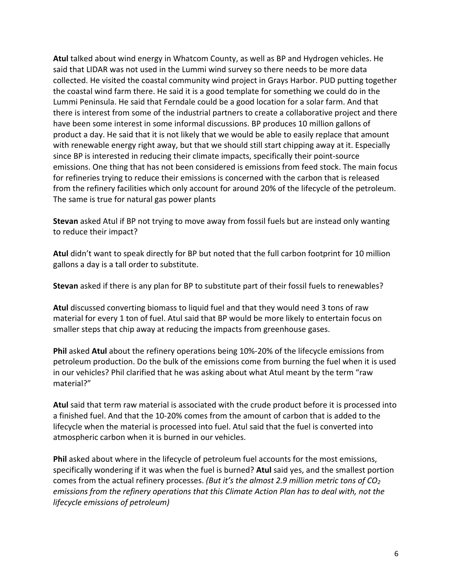**Atul** talked about wind energy in Whatcom County, as well as BP and Hydrogen vehicles. He said that LIDAR was not used in the Lummi wind survey so there needs to be more data collected. He visited the coastal community wind project in Grays Harbor. PUD putting together the coastal wind farm there. He said it is a good template for something we could do in the Lummi Peninsula. He said that Ferndale could be a good location for a solar farm. And that there is interest from some of the industrial partners to create a collaborative project and there have been some interest in some informal discussions. BP produces 10 million gallons of product a day. He said that it is not likely that we would be able to easily replace that amount with renewable energy right away, but that we should still start chipping away at it. Especially since BP is interested in reducing their climate impacts, specifically their point-source emissions. One thing that has not been considered is emissions from feed stock. The main focus for refineries trying to reduce their emissions is concerned with the carbon that is released from the refinery facilities which only account for around 20% of the lifecycle of the petroleum. The same is true for natural gas power plants

**Stevan** asked Atul if BP not trying to move away from fossil fuels but are instead only wanting to reduce their impact?

**Atul** didn't want to speak directly for BP but noted that the full carbon footprint for 10 million gallons a day is a tall order to substitute.

**Stevan** asked if there is any plan for BP to substitute part of their fossil fuels to renewables?

**Atul** discussed converting biomass to liquid fuel and that they would need 3 tons of raw material for every 1 ton of fuel. Atul said that BP would be more likely to entertain focus on smaller steps that chip away at reducing the impacts from greenhouse gases.

**Phil** asked **Atul** about the refinery operations being 10%-20% of the lifecycle emissions from petroleum production. Do the bulk of the emissions come from burning the fuel when it is used in our vehicles? Phil clarified that he was asking about what Atul meant by the term "raw material?"

**Atul** said that term raw material is associated with the crude product before it is processed into a finished fuel. And that the 10-20% comes from the amount of carbon that is added to the lifecycle when the material is processed into fuel. Atul said that the fuel is converted into atmospheric carbon when it is burned in our vehicles.

**Phil** asked about where in the lifecycle of petroleum fuel accounts for the most emissions, specifically wondering if it was when the fuel is burned? **Atul** said yes, and the smallest portion comes from the actual refinery processes. *(But it's the almost 2.9 million metric tons of CO2 emissions from the refinery operations that this Climate Action Plan has to deal with, not the lifecycle emissions of petroleum)*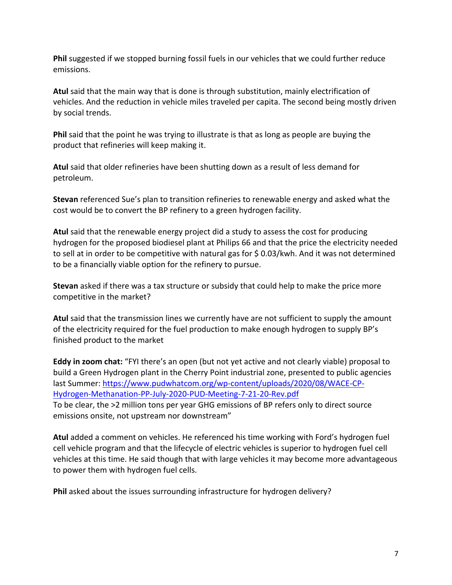**Phil** suggested if we stopped burning fossil fuels in our vehicles that we could further reduce emissions.

**Atul** said that the main way that is done is through substitution, mainly electrification of vehicles. And the reduction in vehicle miles traveled per capita. The second being mostly driven by social trends.

**Phil** said that the point he was trying to illustrate is that as long as people are buying the product that refineries will keep making it.

**Atul** said that older refineries have been shutting down as a result of less demand for petroleum.

**Stevan** referenced Sue's plan to transition refineries to renewable energy and asked what the cost would be to convert the BP refinery to a green hydrogen facility.

**Atul** said that the renewable energy project did a study to assess the cost for producing hydrogen for the proposed biodiesel plant at Philips 66 and that the price the electricity needed to sell at in order to be competitive with natural gas for \$ 0.03/kwh. And it was not determined to be a financially viable option for the refinery to pursue.

**Stevan** asked if there was a tax structure or subsidy that could help to make the price more competitive in the market?

**Atul** said that the transmission lines we currently have are not sufficient to supply the amount of the electricity required for the fuel production to make enough hydrogen to supply BP's finished product to the market

**Eddy in zoom chat:** "FYI there's an open (but not yet active and not clearly viable) proposal to build a Green Hydrogen plant in the Cherry Point industrial zone, presented to public agencies last Summer: [https://www.pudwhatcom.org/wp-content/uploads/2020/08/WACE-CP-](https://www.pudwhatcom.org/wp-content/uploads/2020/08/WACE-CP-Hydrogen-Methanation-PP-July-2020-PUD-Meeting-7-21-20-Rev.pdf)[Hydrogen-Methanation-PP-July-2020-PUD-Meeting-7-21-20-Rev.pdf](https://www.pudwhatcom.org/wp-content/uploads/2020/08/WACE-CP-Hydrogen-Methanation-PP-July-2020-PUD-Meeting-7-21-20-Rev.pdf) To be clear, the >2 million tons per year GHG emissions of BP refers only to direct source emissions onsite, not upstream nor downstream"

**Atul** added a comment on vehicles. He referenced his time working with Ford's hydrogen fuel cell vehicle program and that the lifecycle of electric vehicles is superior to hydrogen fuel cell vehicles at this time. He said though that with large vehicles it may become more advantageous to power them with hydrogen fuel cells.

**Phil** asked about the issues surrounding infrastructure for hydrogen delivery?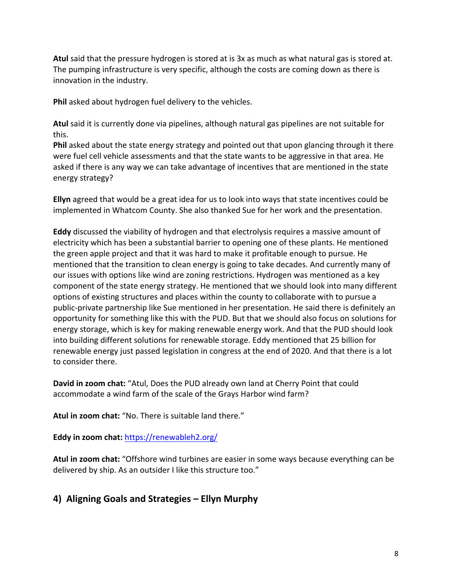**Atul** said that the pressure hydrogen is stored at is 3x as much as what natural gas is stored at. The pumping infrastructure is very specific, although the costs are coming down as there is innovation in the industry.

**Phil** asked about hydrogen fuel delivery to the vehicles.

**Atul** said it is currently done via pipelines, although natural gas pipelines are not suitable for this.

**Phil** asked about the state energy strategy and pointed out that upon glancing through it there were fuel cell vehicle assessments and that the state wants to be aggressive in that area. He asked if there is any way we can take advantage of incentives that are mentioned in the state energy strategy?

**Ellyn** agreed that would be a great idea for us to look into ways that state incentives could be implemented in Whatcom County. She also thanked Sue for her work and the presentation.

**Eddy** discussed the viability of hydrogen and that electrolysis requires a massive amount of electricity which has been a substantial barrier to opening one of these plants. He mentioned the green apple project and that it was hard to make it profitable enough to pursue. He mentioned that the transition to clean energy is going to take decades. And currently many of our issues with options like wind are zoning restrictions. Hydrogen was mentioned as a key component of the state energy strategy. He mentioned that we should look into many different options of existing structures and places within the county to collaborate with to pursue a public-private partnership like Sue mentioned in her presentation. He said there is definitely an opportunity for something like this with the PUD. But that we should also focus on solutions for energy storage, which is key for making renewable energy work. And that the PUD should look into building different solutions for renewable storage. Eddy mentioned that 25 billion for renewable energy just passed legislation in congress at the end of 2020. And that there is a lot to consider there.

**David in zoom chat:** "Atul, Does the PUD already own land at Cherry Point that could accommodate a wind farm of the scale of the Grays Harbor wind farm?

**Atul in zoom chat:** "No. There is suitable land there."

**Eddy in zoom chat:** <https://renewableh2.org/>

**Atul in zoom chat:** "Offshore wind turbines are easier in some ways because everything can be delivered by ship. As an outsider I like this structure too."

# **4) Aligning Goals and Strategies – Ellyn Murphy**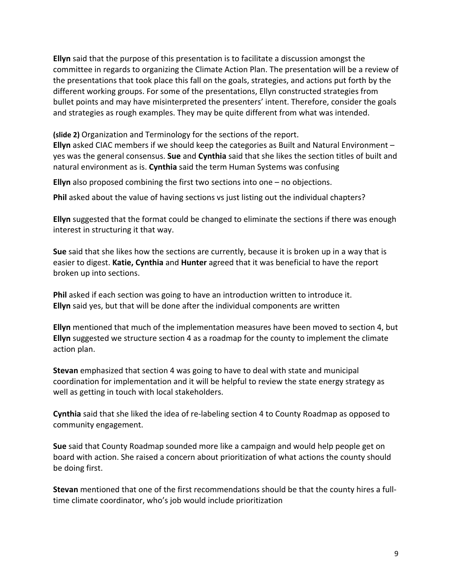**Ellyn** said that the purpose of this presentation is to facilitate a discussion amongst the committee in regards to organizing the Climate Action Plan. The presentation will be a review of the presentations that took place this fall on the goals, strategies, and actions put forth by the different working groups. For some of the presentations, Ellyn constructed strategies from bullet points and may have misinterpreted the presenters' intent. Therefore, consider the goals and strategies as rough examples. They may be quite different from what was intended.

**(slide 2)** Organization and Terminology for the sections of the report.

**Ellyn** asked CIAC members if we should keep the categories as Built and Natural Environment – yes was the general consensus. **Sue** and **Cynthia** said that she likes the section titles of built and natural environment as is. **Cynthia** said the term Human Systems was confusing

**Ellyn** also proposed combining the first two sections into one – no objections.

**Phil** asked about the value of having sections vs just listing out the individual chapters?

**Ellyn** suggested that the format could be changed to eliminate the sections if there was enough interest in structuring it that way.

**Sue** said that she likes how the sections are currently, because it is broken up in a way that is easier to digest. **Katie, Cynthia** and **Hunter** agreed that it was beneficial to have the report broken up into sections.

**Phil** asked if each section was going to have an introduction written to introduce it. **Ellyn** said yes, but that will be done after the individual components are written

**Ellyn** mentioned that much of the implementation measures have been moved to section 4, but **Ellyn** suggested we structure section 4 as a roadmap for the county to implement the climate action plan.

**Stevan** emphasized that section 4 was going to have to deal with state and municipal coordination for implementation and it will be helpful to review the state energy strategy as well as getting in touch with local stakeholders.

**Cynthia** said that she liked the idea of re-labeling section 4 to County Roadmap as opposed to community engagement.

**Sue** said that County Roadmap sounded more like a campaign and would help people get on board with action. She raised a concern about prioritization of what actions the county should be doing first.

**Stevan** mentioned that one of the first recommendations should be that the county hires a fulltime climate coordinator, who's job would include prioritization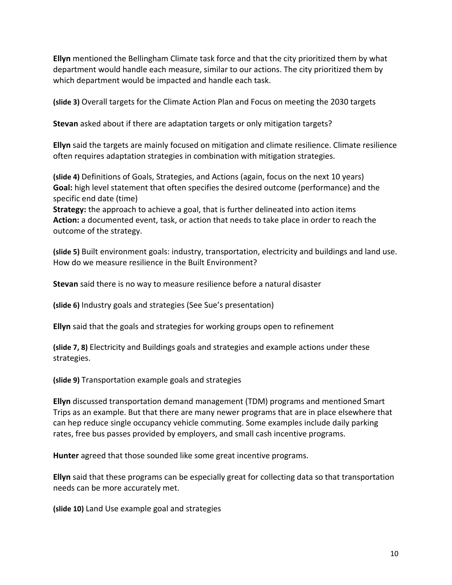**Ellyn** mentioned the Bellingham Climate task force and that the city prioritized them by what department would handle each measure, similar to our actions. The city prioritized them by which department would be impacted and handle each task.

**(slide 3)** Overall targets for the Climate Action Plan and Focus on meeting the 2030 targets

**Stevan** asked about if there are adaptation targets or only mitigation targets?

**Ellyn** said the targets are mainly focused on mitigation and climate resilience. Climate resilience often requires adaptation strategies in combination with mitigation strategies.

**(slide 4)** Definitions of Goals, Strategies, and Actions (again, focus on the next 10 years) **Goal:** high level statement that often specifies the desired outcome (performance) and the specific end date (time)

**Strategy:** the approach to achieve a goal, that is further delineated into action items **Action:** a documented event, task, or action that needs to take place in order to reach the outcome of the strategy.

**(slide 5)** Built environment goals: industry, transportation, electricity and buildings and land use. How do we measure resilience in the Built Environment?

**Stevan** said there is no way to measure resilience before a natural disaster

**(slide 6)** Industry goals and strategies (See Sue's presentation)

**Ellyn** said that the goals and strategies for working groups open to refinement

**(slide 7, 8)** Electricity and Buildings goals and strategies and example actions under these strategies.

**(slide 9)** Transportation example goals and strategies

**Ellyn** discussed transportation demand management (TDM) programs and mentioned Smart Trips as an example. But that there are many newer programs that are in place elsewhere that can hep reduce single occupancy vehicle commuting. Some examples include daily parking rates, free bus passes provided by employers, and small cash incentive programs.

**Hunter** agreed that those sounded like some great incentive programs.

**Ellyn** said that these programs can be especially great for collecting data so that transportation needs can be more accurately met.

**(slide 10)** Land Use example goal and strategies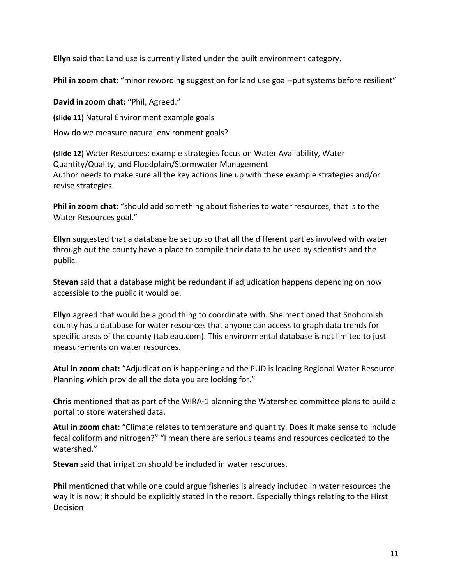**Ellyn** said that Land use is currently listed under the built environment category.

**Phil in zoom chat:** "minor rewording suggestion for land use goal--put systems before resilient"

**David in zoom chat:** "Phil, Agreed." **(slide 11)** Natural Environment example goals How do we measure natural environment goals?

**(slide 12)** Water Resources: example strategies focus on Water Availability, Water Quantity/Quality, and Floodplain/Stormwater Management Author needs to make sure all the key actions line up with these example strategies and/or revise strategies.

**Phil in zoom chat:** "should add something about fisheries to water resources, that is to the Water Resources goal."

**Ellyn** suggested that a database be set up so that all the different parties involved with water through out the county have a place to compile their data to be used by scientists and the public.

**Stevan** said that a database might be redundant if adjudication happens depending on how accessible to the public it would be.

**Ellyn** agreed that would be a good thing to coordinate with. She mentioned that Snohomish county has a database for water resources that anyone can access to graph data trends for specific areas of the county (tableau.com). This environmental database is not limited to just measurements on water resources.

**Atul in zoom chat:** "Adjudication is happening and the PUD is leading Regional Water Resource Planning which provide all the data you are looking for."

**Chris** mentioned that as part of the WIRA-1 planning the Watershed committee plans to build a portal to store watershed data.

**Atul in zoom chat:** "Climate relates to temperature and quantity. Does it make sense to include fecal coliform and nitrogen?" "I mean there are serious teams and resources dedicated to the watershed."

**Stevan** said that irrigation should be included in water resources.

**Phil** mentioned that while one could argue fisheries is already included in water resources the way it is now; it should be explicitly stated in the report. Especially things relating to the Hirst Decision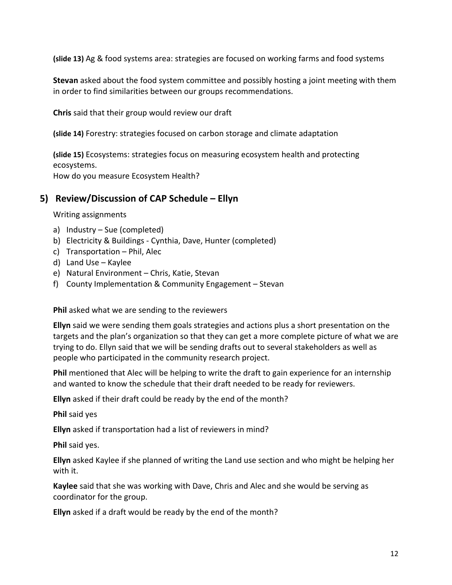**(slide 13)** Ag & food systems area: strategies are focused on working farms and food systems

**Stevan** asked about the food system committee and possibly hosting a joint meeting with them in order to find similarities between our groups recommendations.

**Chris** said that their group would review our draft

**(slide 14)** Forestry: strategies focused on carbon storage and climate adaptation

**(slide 15)** Ecosystems: strategies focus on measuring ecosystem health and protecting ecosystems.

How do you measure Ecosystem Health?

## **5) Review/Discussion of CAP Schedule – Ellyn**

Writing assignments

- a) Industry Sue (completed)
- b) Electricity & Buildings Cynthia, Dave, Hunter (completed)
- c) Transportation Phil, Alec
- d) Land Use Kaylee
- e) Natural Environment Chris, Katie, Stevan
- f) County Implementation & Community Engagement Stevan

**Phil** asked what we are sending to the reviewers

**Ellyn** said we were sending them goals strategies and actions plus a short presentation on the targets and the plan's organization so that they can get a more complete picture of what we are trying to do. Ellyn said that we will be sending drafts out to several stakeholders as well as people who participated in the community research project.

**Phil** mentioned that Alec will be helping to write the draft to gain experience for an internship and wanted to know the schedule that their draft needed to be ready for reviewers.

**Ellyn** asked if their draft could be ready by the end of the month?

**Phil** said yes

**Ellyn** asked if transportation had a list of reviewers in mind?

**Phil** said yes.

**Ellyn** asked Kaylee if she planned of writing the Land use section and who might be helping her with it.

**Kaylee** said that she was working with Dave, Chris and Alec and she would be serving as coordinator for the group.

**Ellyn** asked if a draft would be ready by the end of the month?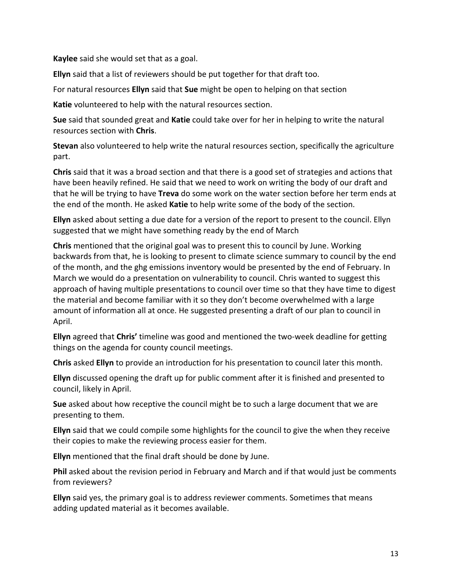**Kaylee** said she would set that as a goal.

**Ellyn** said that a list of reviewers should be put together for that draft too.

For natural resources **Ellyn** said that **Sue** might be open to helping on that section

**Katie** volunteered to help with the natural resources section.

**Sue** said that sounded great and **Katie** could take over for her in helping to write the natural resources section with **Chris**.

**Stevan** also volunteered to help write the natural resources section, specifically the agriculture part.

**Chris** said that it was a broad section and that there is a good set of strategies and actions that have been heavily refined. He said that we need to work on writing the body of our draft and that he will be trying to have **Treva** do some work on the water section before her term ends at the end of the month. He asked **Katie** to help write some of the body of the section.

**Ellyn** asked about setting a due date for a version of the report to present to the council. Ellyn suggested that we might have something ready by the end of March

**Chris** mentioned that the original goal was to present this to council by June. Working backwards from that, he is looking to present to climate science summary to council by the end of the month, and the ghg emissions inventory would be presented by the end of February. In March we would do a presentation on vulnerability to council. Chris wanted to suggest this approach of having multiple presentations to council over time so that they have time to digest the material and become familiar with it so they don't become overwhelmed with a large amount of information all at once. He suggested presenting a draft of our plan to council in April.

**Ellyn** agreed that **Chris'** timeline was good and mentioned the two-week deadline for getting things on the agenda for county council meetings.

**Chris** asked **Ellyn** to provide an introduction for his presentation to council later this month.

**Ellyn** discussed opening the draft up for public comment after it is finished and presented to council, likely in April.

**Sue** asked about how receptive the council might be to such a large document that we are presenting to them.

**Ellyn** said that we could compile some highlights for the council to give the when they receive their copies to make the reviewing process easier for them.

**Ellyn** mentioned that the final draft should be done by June.

**Phil** asked about the revision period in February and March and if that would just be comments from reviewers?

**Ellyn** said yes, the primary goal is to address reviewer comments. Sometimes that means adding updated material as it becomes available.